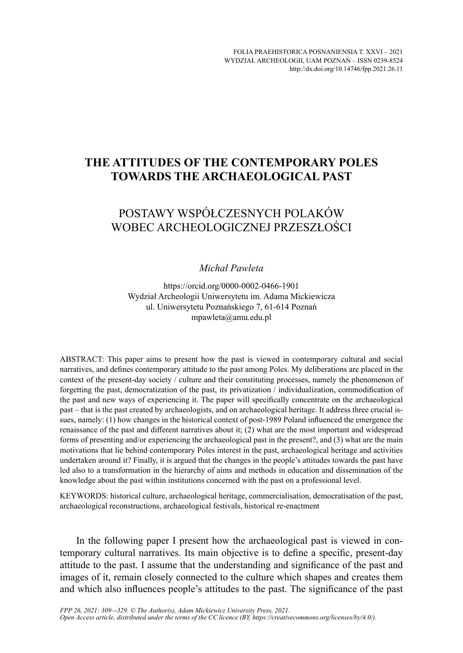## **THE ATTITUDES OF THE CONTEMPORARY POLES TOWARDS THE ARCHAEOLOGICAL PAST**

# POSTAWY WSPÓŁCZESNYCH POLAKÓW WOBEC ARCHEOLOGICZNEJ PRZESZŁOŚCI

#### *Michał Pawleta*

https://orcid.org/0000-0002-0466-1901 Wydział Archeologii Uniwersytetu im. Adama Mickiewicza ul. Uniwersytetu Poznańskiego 7, 61-614 Poznań mpawleta@amu.edu.pl

ABSTRACT: This paper aims to present how the past is viewed in contemporary cultural and social narratives, and defines contemporary attitude to the past among Poles. My deliberations are placed in the context of the present-day society / culture and their constituting processes, namely the phenomenon of forgetting the past, democratization of the past, its privatization / individualization, commodification of the past and new ways of experiencing it. The paper will specifically concentrate on the archaeological past – that is the past created by archaeologists, and on archaeological heritage. It address three crucial issues, namely: (1) how changes in the historical context of post-1989 Poland influenced the emergence the renaissance of the past and different narratives about it; (2) what are the most important and widespread forms of presenting and/or experiencing the archaeological past in the present?, and (3) what are the main motivations that lie behind contemporary Poles interest in the past, archaeological heritage and activities undertaken around it? Finally, it is argued that the changes in the people's attitudes towards the past have led also to a transformation in the hierarchy of aims and methods in education and dissemination of the knowledge about the past within institutions concerned with the past on a professional level.

KEYWORDS: historical culture, archaeological heritage, commercialisation, democratisation of the past, archaeological reconstructions, archaeological festivals, historical re-enactment

In the following paper I present how the archaeological past is viewed in contemporary cultural narratives. Its main objective is to define a specific, present-day attitude to the past. I assume that the understanding and significance of the past and images of it, remain closely connected to the culture which shapes and creates them and which also influences people's attitudes to the past. The significance of the past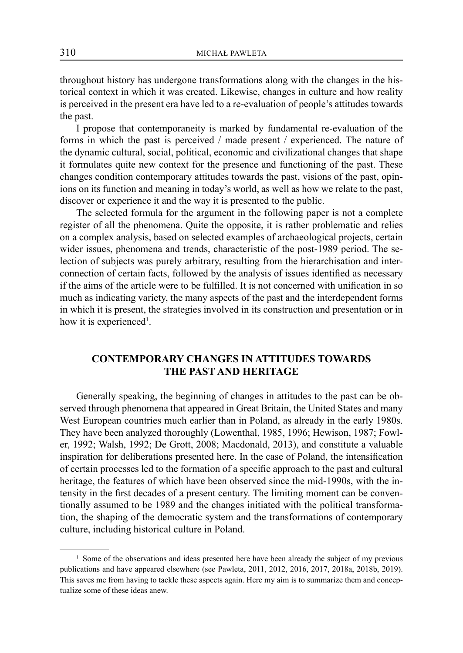throughout history has undergone transformations along with the changes in the historical context in which it was created. Likewise, changes in culture and how reality is perceived in the present era have led to a re-evaluation of people's attitudes towards the past.

I propose that contemporaneity is marked by fundamental re-evaluation of the forms in which the past is perceived / made present / experienced. The nature of the dynamic cultural, social, political, economic and civilizational changes that shape it formulates quite new context for the presence and functioning of the past. These changes condition contemporary attitudes towards the past, visions of the past, opinions on its function and meaning in today's world, as well as how we relate to the past, discover or experience it and the way it is presented to the public.

The selected formula for the argument in the following paper is not a complete register of all the phenomena. Quite the opposite, it is rather problematic and relies on a complex analysis, based on selected examples of archaeological projects, certain wider issues, phenomena and trends, characteristic of the post-1989 period. The selection of subjects was purely arbitrary, resulting from the hierarchisation and interconnection of certain facts, followed by the analysis of issues identified as necessary if the aims of the article were to be fulfilled. It is not concerned with unification in so much as indicating variety, the many aspects of the past and the interdependent forms in which it is present, the strategies involved in its construction and presentation or in how it is experienced<sup>1</sup>.

## **CONTEMPORARY CHANGES IN ATTITUDES TOWARDS THE PAST AND HERITAGE**

Generally speaking, the beginning of changes in attitudes to the past can be observed through phenomena that appeared in Great Britain, the United States and many West European countries much earlier than in Poland, as already in the early 1980s. They have been analyzed thoroughly (Lowenthal, 1985, 1996; Hewison, 1987; Fowler, 1992; Walsh, 1992; De Grott, 2008; Macdonald, 2013), and constitute a valuable inspiration for deliberations presented here. In the case of Poland, the intensification of certain processes led to the formation of a specific approach to the past and cultural heritage, the features of which have been observed since the mid-1990s, with the intensity in the first decades of a present century. The limiting moment can be conventionally assumed to be 1989 and the changes initiated with the political transformation, the shaping of the democratic system and the transformations of contemporary culture, including historical culture in Poland.

<sup>&</sup>lt;sup>1</sup> Some of the observations and ideas presented here have been already the subject of my previous publications and have appeared elsewhere (see Pawleta, 2011, 2012, 2016, 2017, 2018a, 2018b, 2019). This saves me from having to tackle these aspects again. Here my aim is to summarize them and conceptualize some of these ideas anew.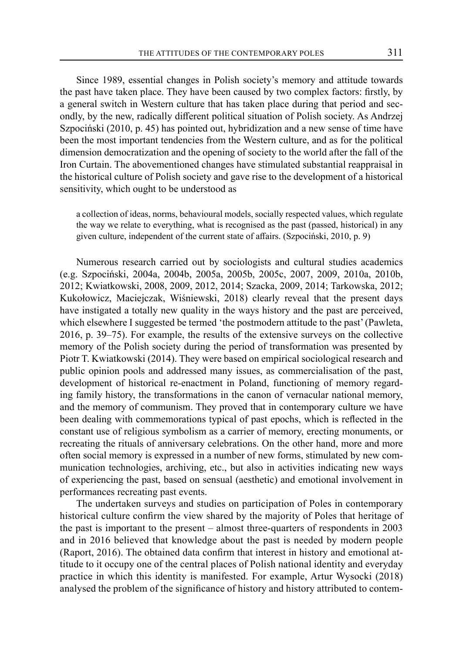Since 1989, essential changes in Polish society's memory and attitude towards the past have taken place. They have been caused by two complex factors: firstly, by a general switch in Western culture that has taken place during that period and secondly, by the new, radically different political situation of Polish society. As Andrzej Szpociński (2010, p. 45) has pointed out, hybridization and a new sense of time have been the most important tendencies from the Western culture, and as for the political dimension democratization and the opening of society to the world after the fall of the Iron Curtain. The abovementioned changes have stimulated substantial reappraisal in the historical culture of Polish society and gave rise to the development of a historical sensitivity, which ought to be understood as

a collection of ideas, norms, behavioural models, socially respected values, which regulate the way we relate to everything, what is recognised as the past (passed, historical) in any given culture, independent of the current state of affairs. (Szpociński, 2010, p. 9)

Numerous research carried out by sociologists and cultural studies academics (e.g. Szpociński, 2004a, 2004b, 2005a, 2005b, 2005c, 2007, 2009, 2010a, 2010b, 2012; Kwiatkowski, 2008, 2009, 2012, 2014; Szacka, 2009, 2014; Tarkowska, 2012; Kukołowicz, Maciejczak, Wiśniewski, 2018) clearly reveal that the present days have instigated a totally new quality in the ways history and the past are perceived, which elsewhere I suggested be termed 'the postmodern attitude to the past' (Pawleta, 2016, p. 39–75). For example, the results of the extensive surveys on the collective memory of the Polish society during the period of transformation was presented by Piotr T. Kwiatkowski (2014). They were based on empirical sociological research and public opinion pools and addressed many issues, as commercialisation of the past, development of historical re-enactment in Poland, functioning of memory regarding family history, the transformations in the canon of vernacular national memory, and the memory of communism. They proved that in contemporary culture we have been dealing with commemorations typical of past epochs, which is reflected in the constant use of religious symbolism as a carrier of memory, erecting monuments, or recreating the rituals of anniversary celebrations. On the other hand, more and more often social memory is expressed in a number of new forms, stimulated by new communication technologies, archiving, etc., but also in activities indicating new ways of experiencing the past, based on sensual (aesthetic) and emotional involvement in performances recreating past events.

The undertaken surveys and studies on participation of Poles in contemporary historical culture confirm the view shared by the majority of Poles that heritage of the past is important to the present – almost three-quarters of respondents in 2003 and in 2016 believed that knowledge about the past is needed by modern people (Raport, 2016). The obtained data confirm that interest in history and emotional attitude to it occupy one of the central places of Polish national identity and everyday practice in which this identity is manifested. For example, Artur Wysocki (2018) analysed the problem of the significance of history and history attributed to contem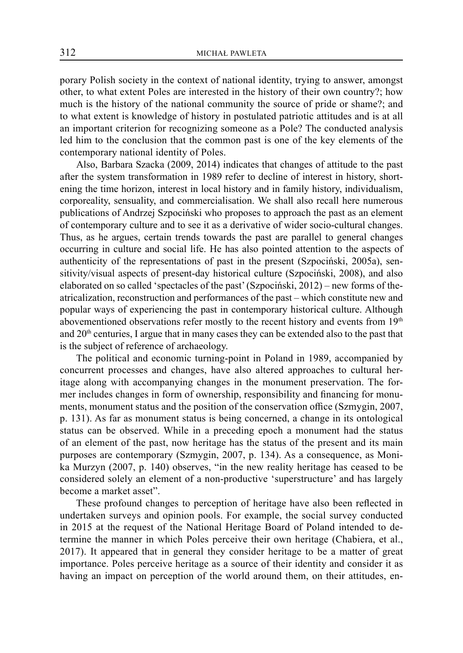porary Polish society in the context of national identity, trying to answer, amongst other, to what extent Poles are interested in the history of their own country?; how much is the history of the national community the source of pride or shame?; and to what extent is knowledge of history in postulated patriotic attitudes and is at all an important criterion for recognizing someone as a Pole? The conducted analysis led him to the conclusion that the common past is one of the key elements of the contemporary national identity of Poles.

Also, Barbara Szacka (2009, 2014) indicates that changes of attitude to the past after the system transformation in 1989 refer to decline of interest in history, shortening the time horizon, interest in local history and in family history, individualism, corporeality, sensuality, and commercialisation. We shall also recall here numerous publications of Andrzej Szpociński who proposes to approach the past as an element of contemporary culture and to see it as a derivative of wider socio-cultural changes. Thus, as he argues, certain trends towards the past are parallel to general changes occurring in culture and social life. He has also pointed attention to the aspects of authenticity of the representations of past in the present (Szpociński, 2005a), sensitivity/visual aspects of present-day historical culture (Szpociński, 2008), and also elaborated on so called 'spectacles of the past' (Szpociński, 2012) – new forms of theatricalization, reconstruction and performances of the past – which constitute new and popular ways of experiencing the past in contemporary historical culture. Although abovementioned observations refer mostly to the recent history and events from  $19<sup>th</sup>$ and 20<sup>th</sup> centuries, I argue that in many cases they can be extended also to the past that is the subject of reference of archaeology.

The political and economic turning-point in Poland in 1989, accompanied by concurrent processes and changes, have also altered approaches to cultural heritage along with accompanying changes in the monument preservation. The former includes changes in form of ownership, responsibility and financing for monuments, monument status and the position of the conservation office (Szmygin, 2007, p. 131). As far as monument status is being concerned, a change in its ontological status can be observed. While in a preceding epoch a monument had the status of an element of the past, now heritage has the status of the present and its main purposes are contemporary (Szmygin, 2007, p. 134). As a consequence, as Monika Murzyn (2007, p. 140) observes, "in the new reality heritage has ceased to be considered solely an element of a non-productive 'superstructure' and has largely become a market asset".

These profound changes to perception of heritage have also been reflected in undertaken surveys and opinion pools. For example, the social survey conducted in 2015 at the request of the National Heritage Board of Poland intended to determine the manner in which Poles perceive their own heritage (Chabiera, et al., 2017). It appeared that in general they consider heritage to be a matter of great importance. Poles perceive heritage as a source of their identity and consider it as having an impact on perception of the world around them, on their attitudes, en-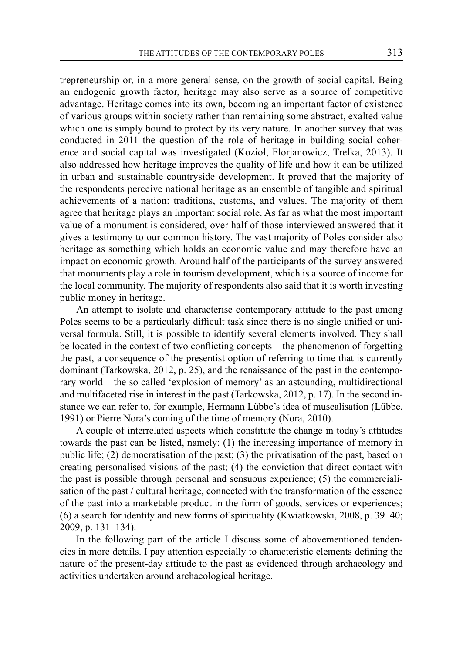trepreneurship or, in a more general sense, on the growth of social capital. Being an endogenic growth factor, heritage may also serve as a source of competitive advantage. Heritage comes into its own, becoming an important factor of existence of various groups within society rather than remaining some abstract, exalted value which one is simply bound to protect by its very nature. In another survey that was conducted in 2011 the question of the role of heritage in building social coherence and social capital was investigated (Kozioł, Florjanowicz, Trelka, 2013). It also addressed how heritage improves the quality of life and how it can be utilized in urban and sustainable countryside development. It proved that the majority of the respondents perceive national heritage as an ensemble of tangible and spiritual achievements of a nation: traditions, customs, and values. The majority of them agree that heritage plays an important social role. As far as what the most important value of a monument is considered, over half of those interviewed answered that it gives a testimony to our common history. The vast majority of Poles consider also heritage as something which holds an economic value and may therefore have an impact on economic growth. Around half of the participants of the survey answered that monuments play a role in tourism development, which is a source of income for the local community. The majority of respondents also said that it is worth investing public money in heritage.

An attempt to isolate and characterise contemporary attitude to the past among Poles seems to be a particularly difficult task since there is no single unified or universal formula. Still, it is possible to identify several elements involved. They shall be located in the context of two conflicting concepts – the phenomenon of forgetting the past, a consequence of the presentist option of referring to time that is currently dominant (Tarkowska, 2012, p. 25), and the renaissance of the past in the contemporary world – the so called 'explosion of memory' as an astounding, multidirectional and multifaceted rise in interest in the past (Tarkowska, 2012, p. 17). In the second instance we can refer to, for example, Hermann Lübbe's idea of musealisation (Lübbe, 1991) or Pierre Nora's coming of the time of memory (Nora, 2010).

A couple of interrelated aspects which constitute the change in today's attitudes towards the past can be listed, namely: (1) the increasing importance of memory in public life; (2) democratisation of the past; (3) the privatisation of the past, based on creating personalised visions of the past; (4) the conviction that direct contact with the past is possible through personal and sensuous experience; (5) the commercialisation of the past / cultural heritage, connected with the transformation of the essence of the past into a marketable product in the form of goods, services or experiences; (6) a search for identity and new forms of spirituality (Kwiatkowski, 2008, p. 39–40; 2009, p. 131–134).

In the following part of the article I discuss some of abovementioned tendencies in more details. I pay attention especially to characteristic elements defining the nature of the present-day attitude to the past as evidenced through archaeology and activities undertaken around archaeological heritage.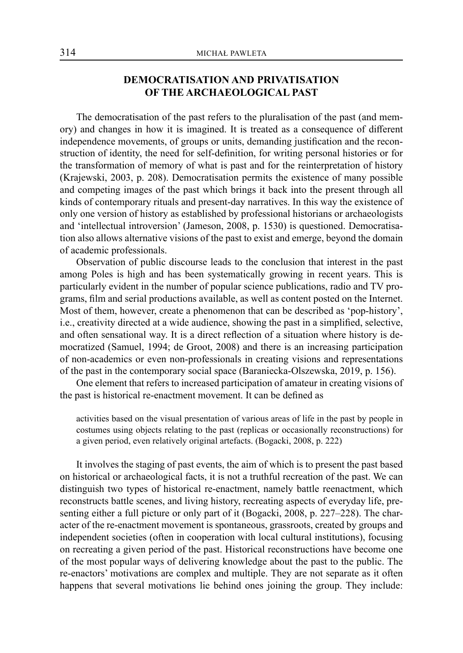## **DEMOCRATISATION AND PRIVATISATION OF THE ARCHAEOLOGICAL PAST**

The democratisation of the past refers to the pluralisation of the past (and memory) and changes in how it is imagined. It is treated as a consequence of different independence movements, of groups or units, demanding justification and the reconstruction of identity, the need for self-definition, for writing personal histories or for the transformation of memory of what is past and for the reinterpretation of history (Krajewski, 2003, p. 208). Democratisation permits the existence of many possible and competing images of the past which brings it back into the present through all kinds of contemporary rituals and present-day narratives. In this way the existence of only one version of history as established by professional historians or archaeologists and 'intellectual introversion' (Jameson, 2008, p. 1530) is questioned. Democratisation also allows alternative visions of the past to exist and emerge, beyond the domain of academic professionals.

Observation of public discourse leads to the conclusion that interest in the past among Poles is high and has been systematically growing in recent years. This is particularly evident in the number of popular science publications, radio and TV programs, film and serial productions available, as well as content posted on the Internet. Most of them, however, create a phenomenon that can be described as 'pop-history', i.e., creativity directed at a wide audience, showing the past in a simplified, selective, and often sensational way. It is a direct reflection of a situation where history is democratized (Samuel, 1994; de Groot, 2008) and there is an increasing participation of non-academics or even non-professionals in creating visions and representations of the past in the contemporary social space (Baraniecka-Olszewska, 2019, p. 156).

One element that refers to increased participation of amateur in creating visions of the past is historical re-enactment movement. It can be defined as

activities based on the visual presentation of various areas of life in the past by people in costumes using objects relating to the past (replicas or occasionally reconstructions) for a given period, even relatively original artefacts. (Bogacki, 2008, p. 222)

It involves the staging of past events, the aim of which is to present the past based on historical or archaeological facts, it is not a truthful recreation of the past. We can distinguish two types of historical re-enactment, namely battle reenactment, which reconstructs battle scenes, and living history, recreating aspects of everyday life, presenting either a full picture or only part of it (Bogacki, 2008, p. 227–228). The character of the re-enactment movement is spontaneous, grassroots, created by groups and independent societies (often in cooperation with local cultural institutions), focusing on recreating a given period of the past. Historical reconstructions have become one of the most popular ways of delivering knowledge about the past to the public. The re-enactors' motivations are complex and multiple. They are not separate as it often happens that several motivations lie behind ones joining the group. They include: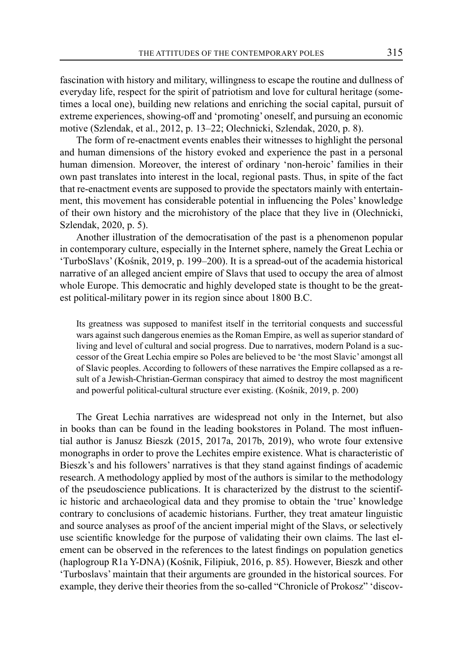fascination with history and military, willingness to escape the routine and dullness of everyday life, respect for the spirit of patriotism and love for cultural heritage (sometimes a local one), building new relations and enriching the social capital, pursuit of extreme experiences, showing-off and 'promoting' oneself, and pursuing an economic motive (Szlendak, et al., 2012, p. 13–22; Olechnicki, Szlendak, 2020, p. 8).

The form of re-enactment events enables their witnesses to highlight the personal and human dimensions of the history evoked and experience the past in a personal human dimension. Moreover, the interest of ordinary 'non-heroic' families in their own past translates into interest in the local, regional pasts. Thus, in spite of the fact that re-enactment events are supposed to provide the spectators mainly with entertainment, this movement has considerable potential in influencing the Poles' knowledge of their own history and the microhistory of the place that they live in (Olechnicki, Szlendak, 2020, p. 5).

Another illustration of the democratisation of the past is a phenomenon popular in contemporary culture, especially in the Internet sphere, namely the Great Lechia or 'TurboSlavs' (Kośnik, 2019, p. 199–200). It is a spread-out of the academia historical narrative of an alleged ancient empire of Slavs that used to occupy the area of almost whole Europe. This democratic and highly developed state is thought to be the greatest political-military power in its region since about 1800 B.C.

Its greatness was supposed to manifest itself in the territorial conquests and successful wars against such dangerous enemies as the Roman Empire, as well as superior standard of living and level of cultural and social progress. Due to narratives, modern Poland is a successor of the Great Lechia empire so Poles are believed to be 'the most Slavic' amongst all of Slavic peoples. According to followers of these narratives the Empire collapsed as a result of a Jewish-Christian-German conspiracy that aimed to destroy the most magnificent and powerful political-cultural structure ever existing. (Kośnik, 2019, p. 200)

The Great Lechia narratives are widespread not only in the Internet, but also in books than can be found in the leading bookstores in Poland. The most influential author is Janusz Bieszk (2015, 2017a, 2017b, 2019), who wrote four extensive monographs in order to prove the Lechites empire existence. What is characteristic of Bieszk's and his followers' narratives is that they stand against findings of academic research. A methodology applied by most of the authors is similar to the methodology of the pseudoscience publications. It is characterized by the distrust to the scientific historic and archaeological data and they promise to obtain the 'true' knowledge contrary to conclusions of academic historians. Further, they treat amateur linguistic and source analyses as proof of the ancient imperial might of the Slavs, or selectively use scientific knowledge for the purpose of validating their own claims. The last element can be observed in the references to the latest findings on population genetics (haplogroup R1a Y-DNA) (Kośnik, Filipiuk, 2016, p. 85). However, Bieszk and other 'Turboslavs' maintain that their arguments are grounded in the historical sources. For example, they derive their theories from the so-called "Chronicle of Prokosz" 'discov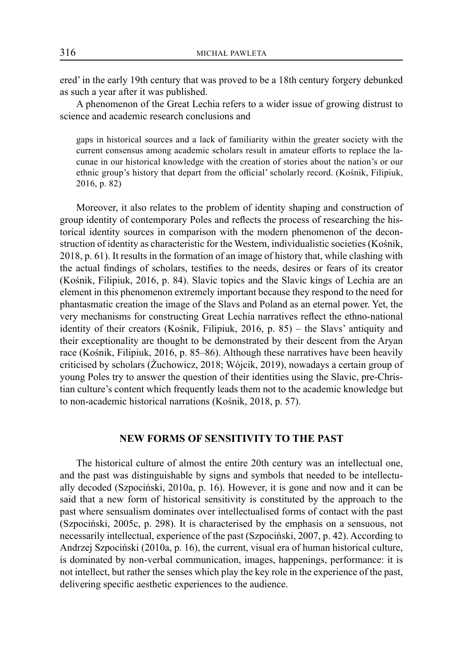ered' in the early 19th century that was proved to be a 18th century forgery debunked as such a year after it was published.

A phenomenon of the Great Lechia refers to a wider issue of growing distrust to science and academic research conclusions and

gaps in historical sources and a lack of familiarity within the greater society with the current consensus among academic scholars result in amateur efforts to replace the lacunae in our historical knowledge with the creation of stories about the nation's or our ethnic group's history that depart from the official' scholarly record. (Kośnik, Filipiuk, 2016, p. 82)

Moreover, it also relates to the problem of identity shaping and construction of group identity of contemporary Poles and reflects the process of researching the historical identity sources in comparison with the modern phenomenon of the deconstruction of identity as characteristic for the Western, individualistic societies (Kośnik, 2018, p. 61). It results in the formation of an image of history that, while clashing with the actual findings of scholars, testifies to the needs, desires or fears of its creator (Kośnik, Filipiuk, 2016, p. 84). Slavic topics and the Slavic kings of Lechia are an element in this phenomenon extremely important because they respond to the need for phantasmatic creation the image of the Slavs and Poland as an eternal power. Yet, the very mechanisms for constructing Great Lechia narratives reflect the ethno-national identity of their creators (Kośnik, Filipiuk, 2016, p. 85) – the Slavs' antiquity and their exceptionality are thought to be demonstrated by their descent from the Aryan race (Kośnik, Filipiuk, 2016, p. 85–86). Although these narratives have been heavily criticised by scholars (Żuchowicz, 2018; Wójcik, 2019), nowadays a certain group of young Poles try to answer the question of their identities using the Slavic, pre-Christian culture's content which frequently leads them not to the academic knowledge but to non-academic historical narrations (Kośnik, 2018, p. 57).

### **NEW FORMS OF SENSITIVITY TO THE PAST**

The historical culture of almost the entire 20th century was an intellectual one, and the past was distinguishable by signs and symbols that needed to be intellectually decoded (Szpociński, 2010a, p. 16). However, it is gone and now and it can be said that a new form of historical sensitivity is constituted by the approach to the past where sensualism dominates over intellectualised forms of contact with the past (Szpociński, 2005c, p. 298). It is characterised by the emphasis on a sensuous, not necessarily intellectual, experience of the past (Szpociński, 2007, p. 42). According to Andrzej Szpociński (2010a, p. 16), the current, visual era of human historical culture, is dominated by non-verbal communication, images, happenings, performance: it is not intellect, but rather the senses which play the key role in the experience of the past, delivering specific aesthetic experiences to the audience.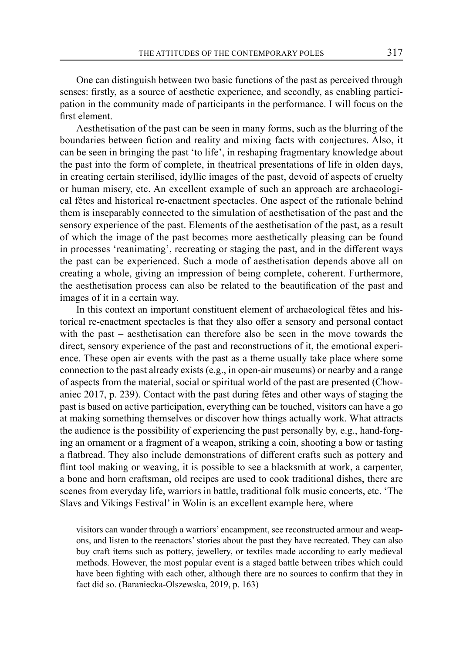One can distinguish between two basic functions of the past as perceived through senses: firstly, as a source of aesthetic experience, and secondly, as enabling participation in the community made of participants in the performance. I will focus on the first element.

Aesthetisation of the past can be seen in many forms, such as the blurring of the boundaries between fiction and reality and mixing facts with conjectures. Also, it can be seen in bringing the past 'to life', in reshaping fragmentary knowledge about the past into the form of complete, in theatrical presentations of life in olden days, in creating certain sterilised, idyllic images of the past, devoid of aspects of cruelty or human misery, etc. An excellent example of such an approach are archaeological fêtes and historical re-enactment spectacles. One aspect of the rationale behind them is inseparably connected to the simulation of aesthetisation of the past and the sensory experience of the past. Elements of the aesthetisation of the past, as a result of which the image of the past becomes more aesthetically pleasing can be found in processes 'reanimating', recreating or staging the past, and in the different ways the past can be experienced. Such a mode of aesthetisation depends above all on creating a whole, giving an impression of being complete, coherent. Furthermore, the aesthetisation process can also be related to the beautification of the past and images of it in a certain way.

In this context an important constituent element of archaeological fêtes and historical re-enactment spectacles is that they also offer a sensory and personal contact with the past – aesthetisation can therefore also be seen in the move towards the direct, sensory experience of the past and reconstructions of it, the emotional experience. These open air events with the past as a theme usually take place where some connection to the past already exists (e.g., in open-air museums) or nearby and a range of aspects from the material, social or spiritual world of the past are presented (Chowaniec 2017, p. 239). Contact with the past during fêtes and other ways of staging the past is based on active participation, everything can be touched, visitors can have a go at making something themselves or discover how things actually work. What attracts the audience is the possibility of experiencing the past personally by, e.g., hand-forging an ornament or a fragment of a weapon, striking a coin, shooting a bow or tasting a flatbread. They also include demonstrations of different crafts such as pottery and flint tool making or weaving, it is possible to see a blacksmith at work, a carpenter, a bone and horn craftsman, old recipes are used to cook traditional dishes, there are scenes from everyday life, warriors in battle, traditional folk music concerts, etc. 'The Slavs and Vikings Festival' in Wolin is an excellent example here, where

visitors can wander through a warriors' encampment, see reconstructed armour and weapons, and listen to the reenactors' stories about the past they have recreated. They can also buy craft items such as pottery, jewellery, or textiles made according to early medieval methods. However, the most popular event is a staged battle between tribes which could have been fighting with each other, although there are no sources to confirm that they in fact did so. (Baraniecka-Olszewska, 2019, p. 163)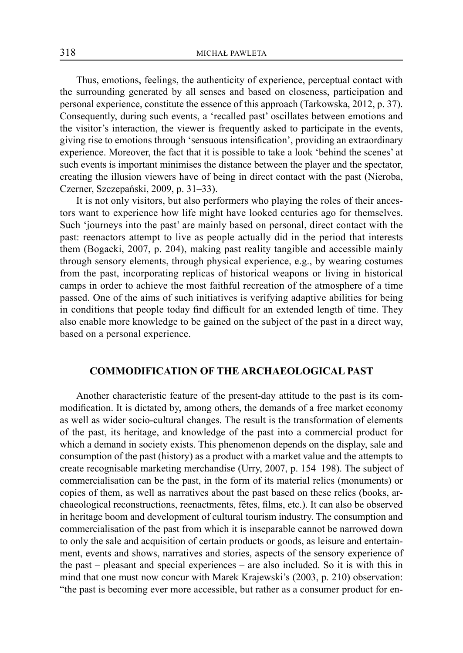Thus, emotions, feelings, the authenticity of experience, perceptual contact with the surrounding generated by all senses and based on closeness, participation and personal experience, constitute the essence of this approach (Tarkowska, 2012, p. 37). Consequently, during such events, a 'recalled past' oscillates between emotions and the visitor's interaction, the viewer is frequently asked to participate in the events, giving rise to emotions through 'sensuous intensification', providing an extraordinary experience. Moreover, the fact that it is possible to take a look 'behind the scenes' at such events is important minimises the distance between the player and the spectator, creating the illusion viewers have of being in direct contact with the past (Nieroba, Czerner, Szczepański, 2009, p. 31–33).

It is not only visitors, but also performers who playing the roles of their ancestors want to experience how life might have looked centuries ago for themselves. Such 'journeys into the past' are mainly based on personal, direct contact with the past: reenactors attempt to live as people actually did in the period that interests them (Bogacki, 2007, p. 204), making past reality tangible and accessible mainly through sensory elements, through physical experience, e.g., by wearing costumes from the past, incorporating replicas of historical weapons or living in historical camps in order to achieve the most faithful recreation of the atmosphere of a time passed. One of the aims of such initiatives is verifying adaptive abilities for being in conditions that people today find difficult for an extended length of time. They also enable more knowledge to be gained on the subject of the past in a direct way, based on a personal experience.

### **COMMODIFICATION OF THE ARCHAEOLOGICAL PAST**

Another characteristic feature of the present-day attitude to the past is its commodification. It is dictated by, among others, the demands of a free market economy as well as wider socio-cultural changes. The result is the transformation of elements of the past, its heritage, and knowledge of the past into a commercial product for which a demand in society exists. This phenomenon depends on the display, sale and consumption of the past (history) as a product with a market value and the attempts to create recognisable marketing merchandise (Urry, 2007, p. 154–198). The subject of commercialisation can be the past, in the form of its material relics (monuments) or copies of them, as well as narratives about the past based on these relics (books, archaeological reconstructions, reenactments, fêtes, films, etc.). It can also be observed in heritage boom and development of cultural tourism industry. The consumption and commercialisation of the past from which it is inseparable cannot be narrowed down to only the sale and acquisition of certain products or goods, as leisure and entertainment, events and shows, narratives and stories, aspects of the sensory experience of the past – pleasant and special experiences – are also included. So it is with this in mind that one must now concur with Marek Krajewski's (2003, p. 210) observation: "the past is becoming ever more accessible, but rather as a consumer product for en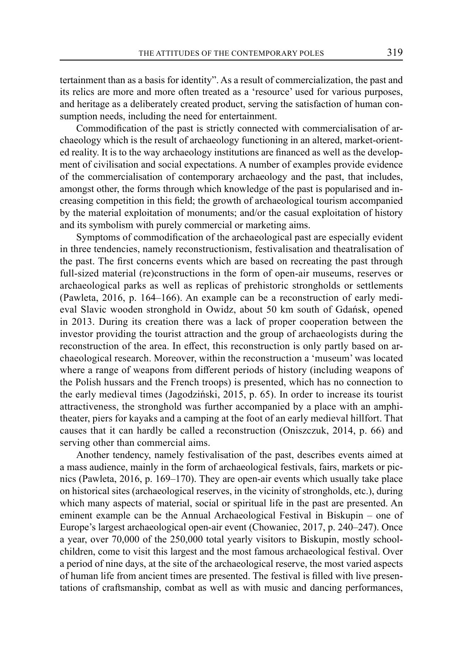tertainment than as a basis for identity". As a result of commercialization, the past and its relics are more and more often treated as a 'resource' used for various purposes, and heritage as a deliberately created product, serving the satisfaction of human consumption needs, including the need for entertainment.

Commodification of the past is strictly connected with commercialisation of archaeology which is the result of archaeology functioning in an altered, market-oriented reality. It is to the way archaeology institutions are financed as well as the development of civilisation and social expectations. A number of examples provide evidence of the commercialisation of contemporary archaeology and the past, that includes, amongst other, the forms through which knowledge of the past is popularised and increasing competition in this field; the growth of archaeological tourism accompanied by the material exploitation of monuments; and/or the casual exploitation of history and its symbolism with purely commercial or marketing aims.

Symptoms of commodification of the archaeological past are especially evident in three tendencies, namely reconstructionism, festivalisation and theatralisation of the past. The first concerns events which are based on recreating the past through full-sized material (re)constructions in the form of open-air museums, reserves or archaeological parks as well as replicas of prehistoric strongholds or settlements (Pawleta, 2016, p. 164–166). An example can be a reconstruction of early medieval Slavic wooden stronghold in Owidz, about 50 km south of Gdańsk, opened in 2013. During its creation there was a lack of proper cooperation between the investor providing the tourist attraction and the group of archaeologists during the reconstruction of the area. In effect, this reconstruction is only partly based on archaeological research. Moreover, within the reconstruction a 'museum' was located where a range of weapons from different periods of history (including weapons of the Polish hussars and the French troops) is presented, which has no connection to the early medieval times (Jagodziński, 2015, p. 65). In order to increase its tourist attractiveness, the stronghold was further accompanied by a place with an amphitheater, piers for kayaks and a camping at the foot of an early medieval hillfort. That causes that it can hardly be called a reconstruction (Oniszczuk, 2014, p. 66) and serving other than commercial aims.

Another tendency, namely festivalisation of the past, describes events aimed at a mass audience, mainly in the form of archaeological festivals, fairs, markets or picnics (Pawleta, 2016, p. 169–170). They are open-air events which usually take place on historical sites (archaeological reserves, in the vicinity of strongholds, etc.), during which many aspects of material, social or spiritual life in the past are presented. An eminent example can be the Annual Archaeological Festival in Biskupin – one of Europe's largest archaeological open-air event (Chowaniec, 2017, p. 240–247). Once a year, over 70,000 of the 250,000 total yearly visitors to Biskupin, mostly schoolchildren, come to visit this largest and the most famous archaeological festival. Over a period of nine days, at the site of the archaeological reserve, the most varied aspects of human life from ancient times are presented. The festival is filled with live presentations of craftsmanship, combat as well as with music and dancing performances,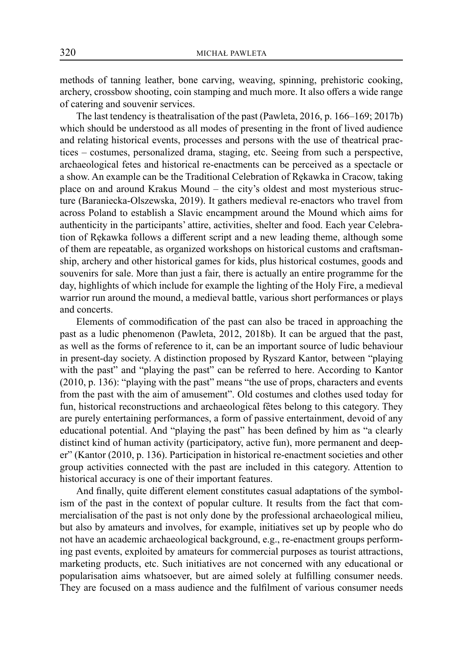methods of tanning leather, bone carving, weaving, spinning, prehistoric cooking, archery, crossbow shooting, coin stamping and much more. It also offers a wide range of catering and souvenir services.

The last tendency is theatralisation of the past (Pawleta, 2016, p. 166–169; 2017b) which should be understood as all modes of presenting in the front of lived audience and relating historical events, processes and persons with the use of theatrical practices – costumes, personalized drama, staging, etc. Seeing from such a perspective, archaeological fetes and historical re-enactments can be perceived as a spectacle or a show. An example can be the Traditional Celebration of Rękawka in Cracow, taking place on and around Krakus Mound – the city's oldest and most mysterious structure (Baraniecka-Olszewska, 2019). It gathers medieval re-enactors who travel from across Poland to establish a Slavic encampment around the Mound which aims for authenticity in the participants' attire, activities, shelter and food. Each year Celebration of Rękawka follows a different script and a new leading theme, although some of them are repeatable, as organized workshops on historical customs and craftsmanship, archery and other historical games for kids, plus historical costumes, goods and souvenirs for sale. More than just a fair, there is actually an entire programme for the day, highlights of which include for example the lighting of the Holy Fire, a medieval warrior run around the mound, a medieval battle, various short performances or plays and concerts.

Elements of commodification of the past can also be traced in approaching the past as a ludic phenomenon (Pawleta, 2012, 2018b). It can be argued that the past, as well as the forms of reference to it, can be an important source of ludic behaviour in present-day society. A distinction proposed by Ryszard Kantor, between "playing with the past" and "playing the past" can be referred to here. According to Kantor (2010, p. 136): "playing with the past" means "the use of props, characters and events from the past with the aim of amusement". Old costumes and clothes used today for fun, historical reconstructions and archaeological fêtes belong to this category. They are purely entertaining performances, a form of passive entertainment, devoid of any educational potential. And "playing the past" has been defined by him as "a clearly distinct kind of human activity (participatory, active fun), more permanent and deeper" (Kantor (2010, p. 136). Participation in historical re-enactment societies and other group activities connected with the past are included in this category. Attention to historical accuracy is one of their important features.

And finally, quite different element constitutes casual adaptations of the symbolism of the past in the context of popular culture. It results from the fact that commercialisation of the past is not only done by the professional archaeological milieu, but also by amateurs and involves, for example, initiatives set up by people who do not have an academic archaeological background, e.g., re-enactment groups performing past events, exploited by amateurs for commercial purposes as tourist attractions, marketing products, etc. Such initiatives are not concerned with any educational or popularisation aims whatsoever, but are aimed solely at fulfilling consumer needs. They are focused on a mass audience and the fulfilment of various consumer needs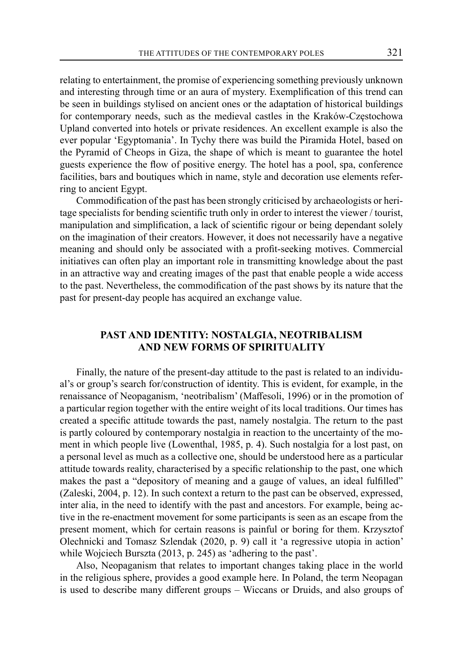relating to entertainment, the promise of experiencing something previously unknown and interesting through time or an aura of mystery. Exemplification of this trend can be seen in buildings stylised on ancient ones or the adaptation of historical buildings for contemporary needs, such as the medieval castles in the Kraków-Częstochowa Upland converted into hotels or private residences. An excellent example is also the ever popular 'Egyptomania'. In Tychy there was build the Piramida Hotel, based on the Pyramid of Cheops in Giza, the shape of which is meant to guarantee the hotel guests experience the flow of positive energy. The hotel has a pool, spa, conference facilities, bars and boutiques which in name, style and decoration use elements referring to ancient Egypt.

Commodification of the past has been strongly criticised by archaeologists or heritage specialists for bending scientific truth only in order to interest the viewer / tourist, manipulation and simplification, a lack of scientific rigour or being dependant solely on the imagination of their creators. However, it does not necessarily have a negative meaning and should only be associated with a profit-seeking motives. Commercial initiatives can often play an important role in transmitting knowledge about the past in an attractive way and creating images of the past that enable people a wide access to the past. Nevertheless, the commodification of the past shows by its nature that the past for present-day people has acquired an exchange value.

## **PAST AND IDENTITY: NOSTALGIA, NEOTRIBALISM AND NEW FORMS OF SPIRITUALITY**

Finally, the nature of the present-day attitude to the past is related to an individual's or group's search for/construction of identity. This is evident, for example, in the renaissance of Neopaganism, 'neotribalism' (Maffesoli, 1996) or in the promotion of a particular region together with the entire weight of its local traditions. Our times has created a specific attitude towards the past, namely nostalgia. The return to the past is partly coloured by contemporary nostalgia in reaction to the uncertainty of the moment in which people live (Lowenthal, 1985, p. 4). Such nostalgia for a lost past, on a personal level as much as a collective one, should be understood here as a particular attitude towards reality, characterised by a specific relationship to the past, one which makes the past a "depository of meaning and a gauge of values, an ideal fulfilled" (Zaleski, 2004, p. 12). In such context a return to the past can be observed, expressed, inter alia, in the need to identify with the past and ancestors. For example, being active in the re-enactment movement for some participants is seen as an escape from the present moment, which for certain reasons is painful or boring for them. Krzysztof Olechnicki and Tomasz Szlendak (2020, p. 9) call it 'a regressive utopia in action' while Wojciech Burszta (2013, p. 245) as 'adhering to the past'.

Also, Neopaganism that relates to important changes taking place in the world in the religious sphere, provides a good example here. In Poland, the term Neopagan is used to describe many different groups – Wiccans or Druids, and also groups of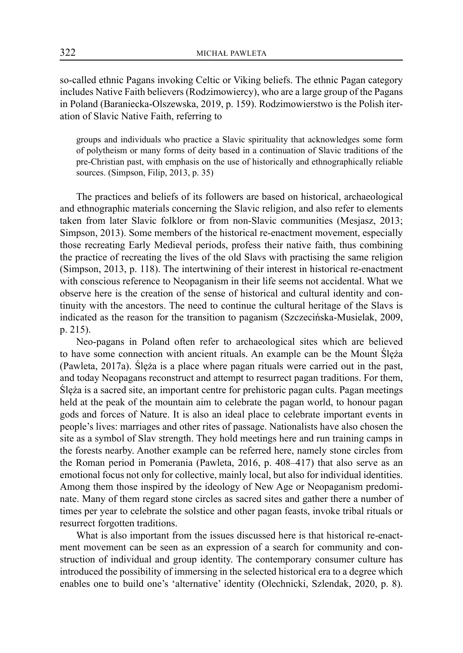so-called ethnic Pagans invoking Celtic or Viking beliefs. The ethnic Pagan category includes Native Faith believers (Rodzimowiercy), who are a large group of the Pagans in Poland (Baraniecka-Olszewska, 2019, p. 159). Rodzimowierstwo is the Polish iteration of Slavic Native Faith, referring to

groups and individuals who practice a Slavic spirituality that acknowledges some form of polytheism or many forms of deity based in a continuation of Slavic traditions of the pre-Christian past, with emphasis on the use of historically and ethnographically reliable sources. (Simpson, Filip, 2013, p. 35)

The practices and beliefs of its followers are based on historical, archaeological and ethnographic materials concerning the Slavic religion, and also refer to elements taken from later Slavic folklore or from non-Slavic communities (Mesjasz, 2013; Simpson, 2013). Some members of the historical re-enactment movement, especially those recreating Early Medieval periods, profess their native faith, thus combining the practice of recreating the lives of the old Slavs with practising the same religion (Simpson, 2013, p. 118). The intertwining of their interest in historical re-enactment with conscious reference to Neopaganism in their life seems not accidental. What we observe here is the creation of the sense of historical and cultural identity and continuity with the ancestors. The need to continue the cultural heritage of the Slavs is indicated as the reason for the transition to paganism (Szczecińska-Musielak, 2009, p. 215).

Neo-pagans in Poland often refer to archaeological sites which are believed to have some connection with ancient rituals. An example can be the Mount Ślęża (Pawleta, 2017a). Ślęża is a place where pagan rituals were carried out in the past, and today Neopagans reconstruct and attempt to resurrect pagan traditions. For them, Ślęża is a sacred site, an important centre for prehistoric pagan cults. Pagan meetings held at the peak of the mountain aim to celebrate the pagan world, to honour pagan gods and forces of Nature. It is also an ideal place to celebrate important events in people's lives: marriages and other rites of passage. Nationalists have also chosen the site as a symbol of Slav strength. They hold meetings here and run training camps in the forests nearby. Another example can be referred here, namely stone circles from the Roman period in Pomerania (Pawleta, 2016, p. 408–417) that also serve as an emotional focus not only for collective, mainly local, but also for individual identities. Among them those inspired by the ideology of New Age or Neopaganism predominate. Many of them regard stone circles as sacred sites and gather there a number of times per year to celebrate the solstice and other pagan feasts, invoke tribal rituals or resurrect forgotten traditions.

What is also important from the issues discussed here is that historical re-enactment movement can be seen as an expression of a search for community and construction of individual and group identity. The contemporary consumer culture has introduced the possibility of immersing in the selected historical era to a degree which enables one to build one's 'alternative' identity (Olechnicki, Szlendak, 2020, p. 8).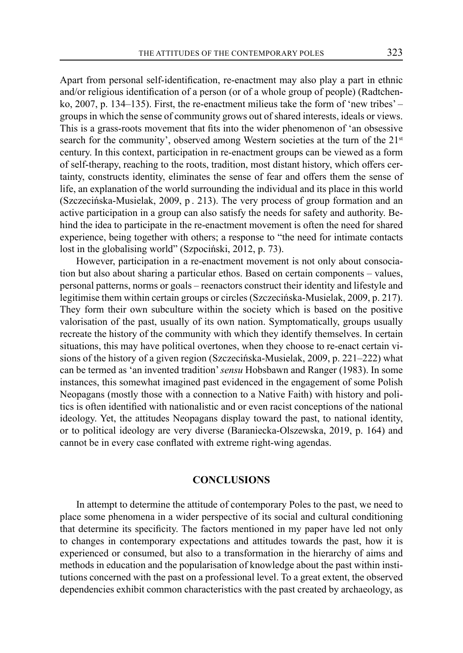Apart from personal self-identification, re-enactment may also play a part in ethnic and/or religious identification of a person (or of a whole group of people) (Radtchenko, 2007, p. 134–135). First, the re-enactment milieus take the form of 'new tribes' – groups in which the sense of community grows out of shared interests, ideals or views. This is a grass-roots movement that fits into the wider phenomenon of 'an obsessive search for the community', observed among Western societies at the turn of the  $21<sup>st</sup>$ century. In this context, participation in re-enactment groups can be viewed as a form of self-therapy, reaching to the roots, tradition, most distant history, which offers certainty, constructs identity, eliminates the sense of fear and offers them the sense of life, an explanation of the world surrounding the individual and its place in this world (Szczecińska-Musielak, 2009, p . 213). The very process of group formation and an active participation in a group can also satisfy the needs for safety and authority. Behind the idea to participate in the re-enactment movement is often the need for shared experience, being together with others; a response to "the need for intimate contacts lost in the globalising world" (Szpociński, 2012, p. 73).

However, participation in a re-enactment movement is not only about consociation but also about sharing a particular ethos. Based on certain components – values, personal patterns, norms or goals – reenactors construct their identity and lifestyle and legitimise them within certain groups or circles (Szczecińska-Musielak, 2009, p. 217). They form their own subculture within the society which is based on the positive valorisation of the past, usually of its own nation. Symptomatically, groups usually recreate the history of the community with which they identify themselves. In certain situations, this may have political overtones, when they choose to re-enact certain visions of the history of a given region (Szczecińska-Musielak, 2009, p. 221–222) what can be termed as 'an invented tradition' *sensu* Hobsbawn and Ranger (1983). In some instances, this somewhat imagined past evidenced in the engagement of some Polish Neopagans (mostly those with a connection to a Native Faith) with history and politics is often identified with nationalistic and or even racist conceptions of the national ideology. Yet, the attitudes Neopagans display toward the past, to national identity, or to political ideology are very diverse (Baraniecka-Olszewska, 2019, p. 164) and cannot be in every case conflated with extreme right-wing agendas.

#### **CONCLUSIONS**

In attempt to determine the attitude of contemporary Poles to the past, we need to place some phenomena in a wider perspective of its social and cultural conditioning that determine its specificity. The factors mentioned in my paper have led not only to changes in contemporary expectations and attitudes towards the past, how it is experienced or consumed, but also to a transformation in the hierarchy of aims and methods in education and the popularisation of knowledge about the past within institutions concerned with the past on a professional level. To a great extent, the observed dependencies exhibit common characteristics with the past created by archaeology, as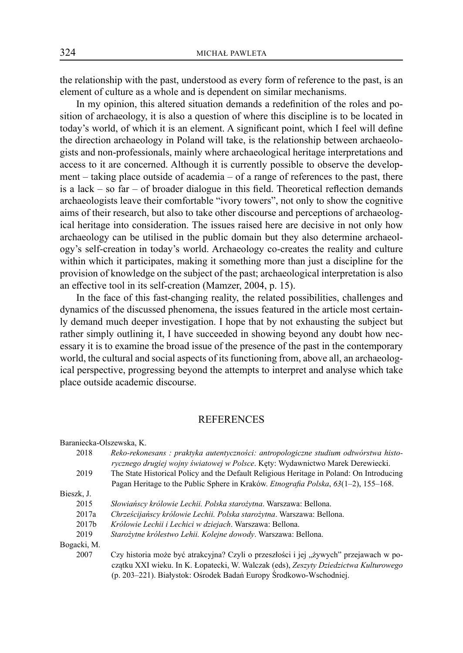the relationship with the past, understood as every form of reference to the past, is an element of culture as a whole and is dependent on similar mechanisms.

In my opinion, this altered situation demands a redefinition of the roles and position of archaeology, it is also a question of where this discipline is to be located in today's world, of which it is an element. A significant point, which I feel will define the direction archaeology in Poland will take, is the relationship between archaeologists and non-professionals, mainly where archaeological heritage interpretations and access to it are concerned. Although it is currently possible to observe the development – taking place outside of academia – of a range of references to the past, there is a lack – so far – of broader dialogue in this field. Theoretical reflection demands archaeologists leave their comfortable "ivory towers", not only to show the cognitive aims of their research, but also to take other discourse and perceptions of archaeological heritage into consideration. The issues raised here are decisive in not only how archaeology can be utilised in the public domain but they also determine archaeology's self-creation in today's world. Archaeology co-creates the reality and culture within which it participates, making it something more than just a discipline for the provision of knowledge on the subject of the past; archaeological interpretation is also an effective tool in its self-creation (Mamzer, 2004, p. 15).

In the face of this fast-changing reality, the related possibilities, challenges and dynamics of the discussed phenomena, the issues featured in the article most certainly demand much deeper investigation. I hope that by not exhausting the subject but rather simply outlining it, I have succeeded in showing beyond any doubt how necessary it is to examine the broad issue of the presence of the past in the contemporary world, the cultural and social aspects of its functioning from, above all, an archaeological perspective, progressing beyond the attempts to interpret and analyse which take place outside academic discourse.

#### **REFERENCES**

| Baraniecka-Olszewska, K. |                                                                                                                                                                                                                                                     |
|--------------------------|-----------------------------------------------------------------------------------------------------------------------------------------------------------------------------------------------------------------------------------------------------|
| 2018                     | Reko-rekonesans: praktyka autentyczności: antropologiczne studium odtwórstwa histo-                                                                                                                                                                 |
|                          | rycznego drugiej wojny światowej w Polsce. Kęty: Wydawnictwo Marek Derewiecki.                                                                                                                                                                      |
| 2019                     | The State Historical Policy and the Default Religious Heritage in Poland: On Introducing                                                                                                                                                            |
|                          | Pagan Heritage to the Public Sphere in Kraków. <i>Etnografia Polska</i> , 63(1–2), 155–168.                                                                                                                                                         |
| Bieszk, J.               |                                                                                                                                                                                                                                                     |
| 2015                     | Słowiańscy królowie Lechii. Polska starożytna. Warszawa: Bellona.                                                                                                                                                                                   |
| 2017a                    | Chrześcijańscy królowie Lechii. Polska starożytna. Warszawa: Bellona.                                                                                                                                                                               |
| 2017 <sub>b</sub>        | Królowie Lechii i Lechici w dziejach. Warszawa: Bellona.                                                                                                                                                                                            |
| 2019                     | Starożytne królestwo Lehii. Kolejne dowody. Warszawa: Bellona.                                                                                                                                                                                      |
| Bogacki, M.              |                                                                                                                                                                                                                                                     |
| 2007                     | Czy historia może być atrakcyjna? Czyli o przeszłości i jej "żywych" przejawach w po-<br>czątku XXI wieku. In K. Łopatecki, W. Walczak (eds), Zeszyty Dziedzictwa Kulturowego<br>(p. 203-221). Białystok: Ośrodek Badań Europy Środkowo-Wschodniej. |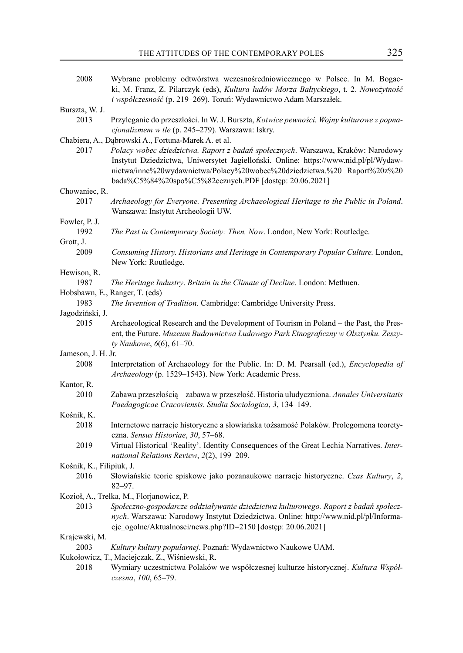| 2008                     | Wybrane problemy odtwórstwa wczesnośredniowiecznego w Polsce. In M. Bogac-<br>ki, M. Franz, Z. Pilarczyk (eds), Kultura ludów Morza Bałtyckiego, t. 2. Nowożytność                                                                                                                                             |
|--------------------------|----------------------------------------------------------------------------------------------------------------------------------------------------------------------------------------------------------------------------------------------------------------------------------------------------------------|
|                          | i współczesność (p. 219-269). Toruń: Wydawnictwo Adam Marszałek.                                                                                                                                                                                                                                               |
| Burszta, W. J.           |                                                                                                                                                                                                                                                                                                                |
| 2013                     | Przyleganie do przeszłości. In W. J. Burszta, Kotwice pewności. Wojny kulturowe z popna-<br>cjonalizmem w tle (p. 245-279). Warszawa: Iskry.                                                                                                                                                                   |
|                          |                                                                                                                                                                                                                                                                                                                |
|                          | Chabiera, A., Dąbrowski A., Fortuna-Marek A. et al.                                                                                                                                                                                                                                                            |
| 2017                     | Polacy wobec dziedzictwa. Raport z badań społecznych. Warszawa, Kraków: Narodowy<br>Instytut Dziedzictwa, Uniwersytet Jagielloński. Online: https://www.nid.pl/pl/Wydaw-<br>nictwa/inne%20wydawnictwa/Polacy%20wobec%20dziedzictwa.%20 Raport%20z%20<br>bada%C5%84%20spo%C5%82ecznych.PDF [dostęp: 20.06.2021] |
| Chowaniec, R.            |                                                                                                                                                                                                                                                                                                                |
| 2017                     | Archaeology for Everyone. Presenting Archaeological Heritage to the Public in Poland.<br>Warszawa: Instytut Archeologii UW.                                                                                                                                                                                    |
| Fowler, P. J.            |                                                                                                                                                                                                                                                                                                                |
| 1992                     | The Past in Contemporary Society: Then, Now. London, New York: Routledge.                                                                                                                                                                                                                                      |
| Grott, J.                |                                                                                                                                                                                                                                                                                                                |
| 2009                     | Consuming History. Historians and Heritage in Contemporary Popular Culture. London,<br>New York: Routledge.                                                                                                                                                                                                    |
| Hewison, R.              |                                                                                                                                                                                                                                                                                                                |
| 1987                     | The Heritage Industry. Britain in the Climate of Decline. London: Methuen.                                                                                                                                                                                                                                     |
|                          | Hobsbawn, E., Ranger, T. (eds)                                                                                                                                                                                                                                                                                 |
| 1983                     | The Invention of Tradition. Cambridge: Cambridge University Press.                                                                                                                                                                                                                                             |
| Jagodziński, J.          |                                                                                                                                                                                                                                                                                                                |
| 2015                     | Archaeological Research and the Development of Tourism in Poland – the Past, the Pres-<br>ent, the Future. Muzeum Budownictwa Ludowego Park Etnograficzny w Olsztynku. Zeszy-                                                                                                                                  |
|                          | ty Naukowe, 6(6), 61-70.                                                                                                                                                                                                                                                                                       |
| Jameson, J. H. Jr.       |                                                                                                                                                                                                                                                                                                                |
| 2008                     | Interpretation of Archaeology for the Public. In: D. M. Pearsall (ed.), <i>Encyclopedia of</i><br>Archaeology (p. 1529-1543). New York: Academic Press.                                                                                                                                                        |
| Kantor, R.               |                                                                                                                                                                                                                                                                                                                |
| 2010                     | Zabawa przeszłością – zabawa w przeszłość. Historia uludyczniona. Annales Universitatis<br>Paedagogicae Cracoviensis. Studia Sociologica, 3, 134-149.                                                                                                                                                          |
| Kośnik, K.               |                                                                                                                                                                                                                                                                                                                |
| 2018                     | Internetowe narracje historyczne a słowiańska tożsamość Polaków. Prolegomena teorety-<br>czna. Sensus Historiae, 30, 57-68.                                                                                                                                                                                    |
| 2019                     | Virtual Historical 'Reality'. Identity Consequences of the Great Lechia Narratives. Inter-<br>national Relations Review, 2(2), 199-209.                                                                                                                                                                        |
| Kośnik, K., Filipiuk, J. |                                                                                                                                                                                                                                                                                                                |
| 2016                     | Słowiańskie teorie spiskowe jako pozanaukowe narracje historyczne. Czas Kultury, 2,<br>$82 - 97.$                                                                                                                                                                                                              |
|                          | Kozioł, A., Trelka, M., Florjanowicz, P.                                                                                                                                                                                                                                                                       |
| 2013                     | Społeczno-gospodarcze oddziaływanie dziedzictwa kulturowego. Raport z badań społecz-                                                                                                                                                                                                                           |
|                          | nych. Warszawa: Narodowy Instytut Dziedzictwa. Online: http://www.nid.pl/pl/Informa-<br>cje ogolne/Aktualnosci/news.php?ID=2150 [dostęp: 20.06.2021]                                                                                                                                                           |
| Krajewski, M.            |                                                                                                                                                                                                                                                                                                                |
| 2003                     | Kultury kultury popularnej. Poznań: Wydawnictwo Naukowe UAM.                                                                                                                                                                                                                                                   |
|                          | Kukołowicz, T., Maciejczak, Z., Wiśniewski, R.                                                                                                                                                                                                                                                                 |
| 2018                     | Wymiary uczestnictwa Polaków we współczesnej kulturze historycznej. Kultura Współ-<br>czesna, 100, 65-79.                                                                                                                                                                                                      |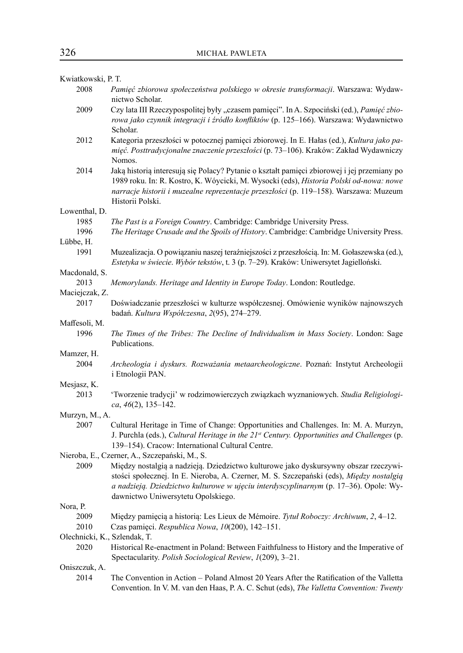| Kwiatkowski, P. T.           |                                                                                                                                                                                                                                                                                                                                                                 |
|------------------------------|-----------------------------------------------------------------------------------------------------------------------------------------------------------------------------------------------------------------------------------------------------------------------------------------------------------------------------------------------------------------|
| 2008                         | Pamięć zbiorowa społeczeństwa polskiego w okresie transformacji. Warszawa: Wydaw-<br>nictwo Scholar.                                                                                                                                                                                                                                                            |
| 2009                         | Czy lata III Rzeczypospolitej były "czasem pamięci". In A. Szpociński (ed.), Pamięć zbio-<br>rowa jako czynnik integracji i źródło konfliktów (p. 125-166). Warszawa: Wydawnictwo<br>Scholar.                                                                                                                                                                   |
| 2012                         | Kategoria przeszłości w potocznej pamięci zbiorowej. In E. Hałas (ed.), Kultura jako pa-<br>mięć. Posttradycjonalne znaczenie przeszłości (p. 73-106). Kraków: Zakład Wydawniczy<br>Nomos.                                                                                                                                                                      |
| 2014                         | Jaką historią interesują się Polacy? Pytanie o kształt pamięci zbiorowej i jej przemiany po<br>1989 roku. In: R. Kostro, K. Wóycicki, M. Wysocki (eds), Historia Polski od-nowa: nowe<br>narracje historii i muzealne reprezentacje przeszłości (p. 119-158). Warszawa: Muzeum<br>Historii Polski.                                                              |
| Lowenthal, D.                |                                                                                                                                                                                                                                                                                                                                                                 |
| 1985                         | The Past is a Foreign Country. Cambridge: Cambridge University Press.                                                                                                                                                                                                                                                                                           |
| 1996                         | The Heritage Crusade and the Spoils of History. Cambridge: Cambridge University Press.                                                                                                                                                                                                                                                                          |
| Lübbe, H.                    |                                                                                                                                                                                                                                                                                                                                                                 |
| 1991                         | Muzealizacja. O powiązaniu naszej teraźniejszości z przeszłością. In: M. Gołaszewska (ed.),<br>Estetyka w świecie. Wybór tekstów, t. 3 (p. 7–29). Kraków: Uniwersytet Jagielloński.                                                                                                                                                                             |
| Macdonald, S.                |                                                                                                                                                                                                                                                                                                                                                                 |
| 2013                         | Memorylands. Heritage and Identity in Europe Today. London: Routledge.                                                                                                                                                                                                                                                                                          |
| Maciejczak, Z.               |                                                                                                                                                                                                                                                                                                                                                                 |
| 2017                         | Doświadczanie przeszłości w kulturze współczesnej. Omówienie wyników najnowszych<br>badań. Kultura Współczesna, 2(95), 274-279.                                                                                                                                                                                                                                 |
| Maffesoli, M.                |                                                                                                                                                                                                                                                                                                                                                                 |
| 1996                         | The Times of the Tribes: The Decline of Individualism in Mass Society. London: Sage<br>Publications.                                                                                                                                                                                                                                                            |
| Mamzer, H.                   |                                                                                                                                                                                                                                                                                                                                                                 |
| 2004                         | Archeologia i dyskurs. Rozważania metaarcheologiczne. Poznań: Instytut Archeologii<br>i Etnologii PAN.                                                                                                                                                                                                                                                          |
| Mesjasz, K.                  |                                                                                                                                                                                                                                                                                                                                                                 |
| 2013                         | 'Tworzenie tradycji' w rodzimowierczych związkach wyznaniowych. Studia Religiologi-<br>$ca, 46(2), 135-142.$                                                                                                                                                                                                                                                    |
| Murzyn, M., A.               |                                                                                                                                                                                                                                                                                                                                                                 |
| 2007                         | Cultural Heritage in Time of Change: Opportunities and Challenges. In: M. A. Murzyn,<br>J. Purchla (eds.), Cultural Heritage in the 21st Century. Opportunities and Challenges (p.<br>139-154). Cracow: International Cultural Centre.                                                                                                                          |
| 2009                         | Nieroba, E., Czerner, A., Szczepański, M., S.<br>Między nostalgią a nadzieją. Dziedzictwo kulturowe jako dyskursywny obszar rzeczywi-<br>stości społecznej. In E. Nieroba, A. Czerner, M. S. Szczepański (eds), Między nostalgią<br>a nadzieją. Dziedzictwo kulturowe w ujęciu interdyscyplinarnym (p. 17-36). Opole: Wy-<br>dawnictwo Uniwersytetu Opolskiego. |
| Nora, P.                     |                                                                                                                                                                                                                                                                                                                                                                 |
| 2009                         | Między pamięcią a historią: Les Lieux de Mémoire. Tytuł Roboczy: Archiwum, 2, 4–12.                                                                                                                                                                                                                                                                             |
| 2010                         | Czas pamięci. Respublica Nowa, 10(200), 142-151.                                                                                                                                                                                                                                                                                                                |
| Olechnicki, K., Szlendak, T. |                                                                                                                                                                                                                                                                                                                                                                 |
| 2020                         | Historical Re-enactment in Poland: Between Faithfulness to History and the Imperative of<br>Spectacularity. Polish Sociological Review, 1(209), 3-21.                                                                                                                                                                                                           |
| Oniszczuk, A.                |                                                                                                                                                                                                                                                                                                                                                                 |
| 2014                         | The Convention in Action – Poland Almost 20 Years After the Ratification of the Valletta<br>Convention. In V. M. van den Haas, P. A. C. Schut (eds), The Valletta Convention: Twenty                                                                                                                                                                            |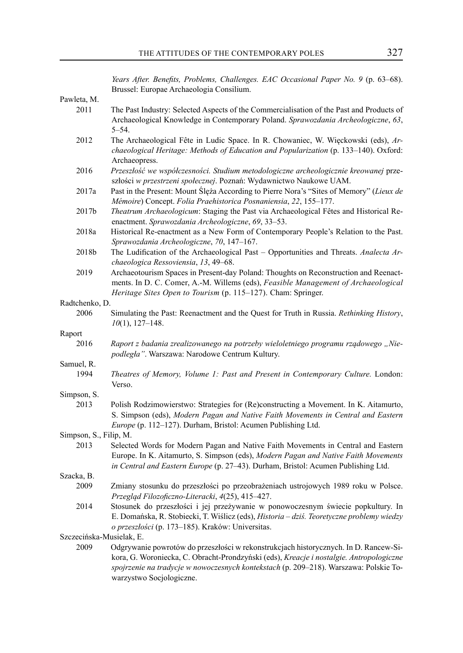*Years After. Benefits, Problems, Challenges. EAC Occasional Paper No. 9* (p. 63–68). Brussel: Europae Archaeologia Consilium.

Pawleta, M.<br>2011

- The Past Industry: Selected Aspects of the Commercialisation of the Past and Products of Archaeological Knowledge in Contemporary Poland. *Sprawozdania Archeologiczne*, *63*, 5–54.
- 2012 The Archaeological Fête in Ludic Space. In R. Chowaniec, W. Więckowski (eds), *Archaeological Heritage: Methods of Education and Popularization* (p. 133–140). Oxford: Archaeopress.
- 2016 *Przeszłość we współczesności. Studium metodologiczne archeologicznie kreowanej* przeszłości *w przestrzeni społecznej*. Poznań: Wydawnictwo Naukowe UAM.
- 2017a Past in the Present: Mount Ślęża According to Pierre Nora's "Sites of Memory" (*Lieux de Mémoire*) Concept. *Folia Praehistorica Posnaniensia*, *22*, 155–177.
- 2017b *Theatrum Archaeologicum*: Staging the Past via Archaeological Fêtes and Historical Reenactment. *Sprawozdania Archeologiczne*, *69*, 33–53.
- 2018a Historical Re-enactment as a New Form of Contemporary People's Relation to the Past. *Sprawozdania Archeologiczne*, *70*, 147–167.
- 2018b The Ludification of the Archaeological Past Opportunities and Threats. *Analecta Archaeologica Ressoviensia*, *13*, 49–68.
- 2019 Archaeotourism Spaces in Present-day Poland: Thoughts on Reconstruction and Reenactments. In D. C. Comer, A.-M. Willems (eds), *Feasible Management of Archaeological Heritage Sites Open to Tourism* (p. 115–127). Cham: Springer.

Radtchenko, D.

2006 Simulating the Past: Reenactment and the Quest for Truth in Russia. *Rethinking History*, *10*(1), 127–148.

Raport

2016 *Raport z badania zrealizowanego na potrzeby wieloletniego programu rządowego "Niepodległa"*. Warszawa: Narodowe Centrum Kultury.

Samuel, R.

1994 *Theatres of Memory, Volume 1: Past and Present in Contemporary Culture.* London: Verso.

Simpson, S.

2013 Polish Rodzimowierstwo: Strategies for (Re)constructing a Movement. In K. Aitamurto, S. Simpson (eds), *Modern Pagan and Native Faith Movements in Central and Eastern Europe* (p. 112–127). Durham, Bristol: Acumen Publishing Ltd.

Simpson, S., Filip, M.

2013 Selected Words for Modern Pagan and Native Faith Movements in Central and Eastern Europe. In K. Aitamurto, S. Simpson (eds), *Modern Pagan and Native Faith Movements in Central and Eastern Europe* (p. 27–43). Durham, Bristol: Acumen Publishing Ltd.

Szacka, B.

- 2009 Zmiany stosunku do przeszłości po przeobrażeniach ustrojowych 1989 roku w Polsce. *Przegląd Filozoficzno-Literacki*, *4*(25), 415–427.
- 2014 Stosunek do przeszłości i jej przeżywanie w ponowoczesnym świecie popkultury. In E. Domańska, R. Stobiecki, T. Wiślicz (eds), *Historia – dziś. Teoretyczne problemy wiedzy o przeszłości* (p. 173–185). Kraków: Universitas.

Szczecińska-Musielak, E.

2009 Odgrywanie powrotów do przeszłości w rekonstrukcjach historycznych. In D. Rancew-Sikora, G. Woroniecka, C. Obracht-Prondzyński (eds), *Kreacje i nostalgie. Antropologiczne spojrzenie na tradycje w nowoczesnych kontekstach* (p. 209–218). Warszawa: Polskie Towarzystwo Socjologiczne.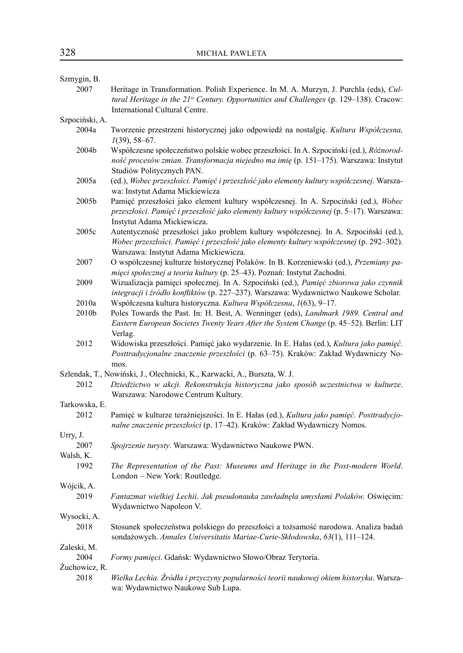| Szmygin, B.    |                                                                                                                                                                                                                          |
|----------------|--------------------------------------------------------------------------------------------------------------------------------------------------------------------------------------------------------------------------|
| 2007           | Heritage in Transformation. Polish Experience. In M. A. Murzyn, J. Purchla (eds), Cul-<br>tural Heritage in the 21st Century. Opportunities and Challenges (p. 129-138). Cracow:<br>International Cultural Centre.       |
| Szpociński, A. |                                                                                                                                                                                                                          |
| 2004a          | Tworzenie przestrzeni historycznej jako odpowiedź na nostalgię. Kultura Współczesna,<br>$1(39), 58 - 67.$                                                                                                                |
| 2004b          | Współczesne społeczeństwo polskie wobec przeszłości. In A. Szpociński (ed.), Różnorod-<br>ność procesów zmian. Transformacja niejedno ma imię (p. 151-175). Warszawa: Instytut<br>Studiów Politycznych PAN.              |
| 2005a          | (ed.), Wobec przeszłości. Pamięć i przeszłość jako elementy kultury współczesnej. Warsza-<br>wa: Instytut Adama Mickiewicza                                                                                              |
| 2005b          | Pamięć przeszłości jako element kultury współczesnej. In A. Szpociński (ed.), Wobec<br>przeszłości. Pamięć i przeszłość jako elementy kultury współczesnej (p. 5-17). Warszawa:<br>Instytut Adama Mickiewicza.           |
| 2005c          | Autentyczność przeszłości jako problem kultury współczesnej. In A. Szpociński (ed.),<br>Wobec przeszłości. Pamięć i przeszłość jako elementy kultury współczesnej (p. 292-302).<br>Warszawa: Instytut Adama Mickiewicza. |
| 2007           | O współczesnej kulturze historycznej Polaków. In B. Korzeniewski (ed.), Przemiany pa-<br>mięci społecznej a teoria kultury (p. 25–43). Poznań: Instytut Zachodni.                                                        |
| 2009           | Wizualizacja pamięci społecznej. In A. Szpociński (ed.), Pamięć zbiorowa jako czynnik<br>integracji i źródło konfliktów (p. 227-237). Warszawa: Wydawnictwo Naukowe Scholar.                                             |
| 2010a          | Współczesna kultura historyczna. Kultura Współczesna, 1(63), 9-17.                                                                                                                                                       |
| 2010b          | Poles Towards the Past. In: H. Best, A. Wenninger (eds), Landmark 1989. Central and<br>Eastern European Societes Twenty Years After the System Change (p. 45-52). Berlin: LIT<br>Verlag.                                 |
| 2012           | Widowiska przeszłości. Pamięć jako wydarzenie. In E. Hałas (ed.), Kultura jako pamięć.<br>Posttradycjonalne znaczenie przeszłości (p. 63-75). Kraków: Zakład Wydawniczy No-<br>mos.                                      |
|                | Szlendak, T., Nowiński, J., Olechnicki, K., Karwacki, A., Burszta, W. J.                                                                                                                                                 |
| 2012           | Dziedzictwo w akcji. Rekonstrukcja historyczna jako sposób uczestnictwa w kulturze.<br>Warszawa: Narodowe Centrum Kultury.                                                                                               |
| Tarkowska, E.  |                                                                                                                                                                                                                          |
| 2012           | Pamięć w kulturze teraźniejszości. In E. Hałas (ed.), Kultura jako pamięć. Posttradycjo-<br>nalne znaczenie przeszłości (p. 17-42). Kraków: Zakład Wydawniczy Nomos.                                                     |
| Urry, J.       |                                                                                                                                                                                                                          |
| 2007           | Spojrzenie turysty. Warszawa: Wydawnictwo Naukowe PWN.                                                                                                                                                                   |
| Walsh, K.      |                                                                                                                                                                                                                          |
| 1992           | The Representation of the Past: Museums and Heritage in the Post-modern World.<br>London - New York: Routledge.                                                                                                          |
| Wójcik, A.     |                                                                                                                                                                                                                          |
| 2019           | Fantazmat wielkiej Lechii. Jak pseudonauka zawładnęła umysłami Polaków. Oświęcim:<br>Wydawnictwo Napoleon V.                                                                                                             |
| Wysocki, A.    |                                                                                                                                                                                                                          |
| 2018           | Stosunek społeczeństwa polskiego do przeszłości a tożsamość narodowa. Analiza badań<br>sondażowych. Annales Universitatis Mariae-Curie-Skłodowska, 63(1), 111-124.                                                       |
| Zaleski, M.    |                                                                                                                                                                                                                          |
| 2004           | Formy pamięci. Gdańsk: Wydawnictwo Słowo/Obraz Terytoria.                                                                                                                                                                |
| Żuchowicz, R.  |                                                                                                                                                                                                                          |
| 2018           | Wielka Lechia. Źródła i przyczyny popularności teorii naukowej okiem historyka. Warsza-<br>wa: Wydawnictwo Naukowe Sub Lupa.                                                                                             |